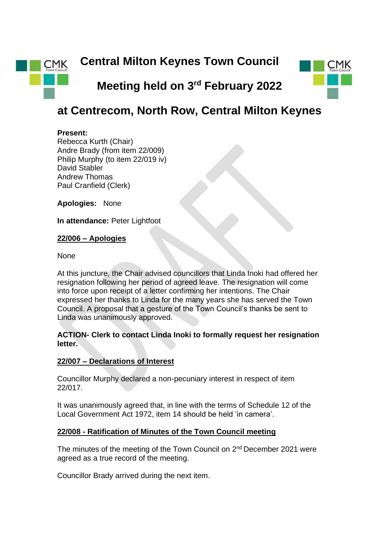



# **at Centrecom, North Row, Central Milton Keynes**

#### **Present:**

Rebecca Kurth (Chair) Andre Brady (from item 22/009) Philip Murphy (to item 22/019 iv) David Stabler Andrew Thomas Paul Cranfield (Clerk)

**Apologies:** None

**In attendance:** Peter Lightfoot

#### **22/006 – Apologies**

None

At this juncture, the Chair advised councillors that Linda Inoki had offered her resignation following her period of agreed leave. The resignation will come into force upon receipt of a letter confirming her intentions. The Chair expressed her thanks to Linda for the many years she has served the Town Council. A proposal that a gesture of the Town Council's thanks be sent to Linda was unanimously approved.

## **ACTION- Clerk to contact Linda Inoki to formally request her resignation letter.**

## **22/007 – Declarations of Interest**

Councillor Murphy declared a non-pecuniary interest in respect of item 22/017.

It was unanimously agreed that, in line with the terms of Schedule 12 of the Local Government Act 1972, item 14 should be held 'in camera'.

## **22/008 - Ratification of Minutes of the Town Council meeting**

The minutes of the meeting of the Town Council on 2<sup>nd</sup> December 2021 were agreed as a true record of the meeting.

Councillor Brady arrived during the next item.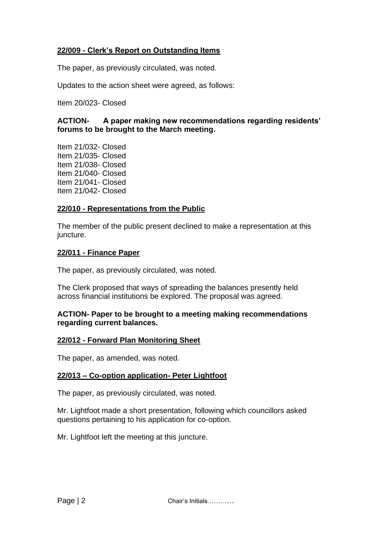## **22/009 - Clerk's Report on Outstanding Items**

The paper, as previously circulated, was noted.

Updates to the action sheet were agreed, as follows:

Item 20/023- Closed

## **ACTION- A paper making new recommendations regarding residents' forums to be brought to the March meeting.**

Item 21/032- Closed Item 21/035- Closed Item 21/038- Closed Item 21/040- Closed Item 21/041- Closed Item 21/042- Closed

## **22/010 - Representations from the Public**

The member of the public present declined to make a representation at this juncture.

## **22/011 - Finance Paper**

The paper, as previously circulated, was noted.

The Clerk proposed that ways of spreading the balances presently held across financial institutions be explored. The proposal was agreed.

## **ACTION- Paper to be brought to a meeting making recommendations regarding current balances.**

## **22/012 - Forward Plan Monitoring Sheet**

The paper, as amended, was noted.

## **22/013 – Co-option application- Peter Lightfoot**

The paper, as previously circulated, was noted.

Mr. Lightfoot made a short presentation, following which councillors asked questions pertaining to his application for co-option.

Mr. Lightfoot left the meeting at this juncture.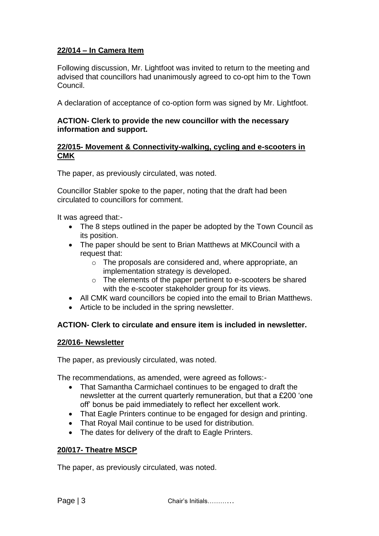## **22/014 – In Camera Item**

Following discussion, Mr. Lightfoot was invited to return to the meeting and advised that councillors had unanimously agreed to co-opt him to the Town Council.

A declaration of acceptance of co-option form was signed by Mr. Lightfoot.

## **ACTION- Clerk to provide the new councillor with the necessary information and support.**

#### **22/015- Movement & Connectivity-walking, cycling and e-scooters in CMK**

The paper, as previously circulated, was noted.

Councillor Stabler spoke to the paper, noting that the draft had been circulated to councillors for comment.

It was agreed that:-

- The 8 steps outlined in the paper be adopted by the Town Council as its position.
- The paper should be sent to Brian Matthews at MKCouncil with a request that:
	- o The proposals are considered and, where appropriate, an implementation strategy is developed.
	- o The elements of the paper pertinent to e-scooters be shared with the e-scooter stakeholder group for its views.
- All CMK ward councillors be copied into the email to Brian Matthews.
- Article to be included in the spring newsletter.

## **ACTION- Clerk to circulate and ensure item is included in newsletter.**

## **22/016- Newsletter**

The paper, as previously circulated, was noted.

The recommendations, as amended, were agreed as follows:-

- That Samantha Carmichael continues to be engaged to draft the newsletter at the current quarterly remuneration, but that a £200 'one off' bonus be paid immediately to reflect her excellent work.
- That Eagle Printers continue to be engaged for design and printing.
- That Royal Mail continue to be used for distribution.
- The dates for delivery of the draft to Eagle Printers.

## **20/017- Theatre MSCP**

The paper, as previously circulated, was noted.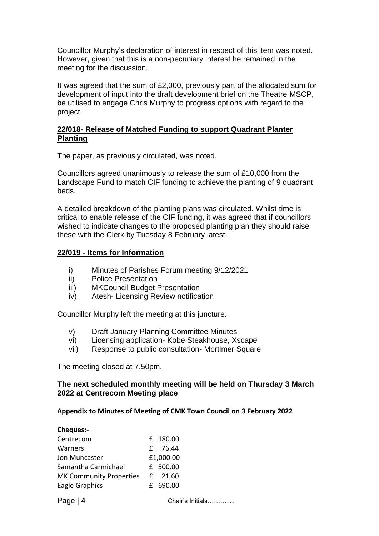Councillor Murphy's declaration of interest in respect of this item was noted. However, given that this is a non-pecuniary interest he remained in the meeting for the discussion.

It was agreed that the sum of £2,000, previously part of the allocated sum for development of input into the draft development brief on the Theatre MSCP, be utilised to engage Chris Murphy to progress options with regard to the project.

## **22/018- Release of Matched Funding to support Quadrant Planter Planting**

The paper, as previously circulated, was noted.

Councillors agreed unanimously to release the sum of £10,000 from the Landscape Fund to match CIF funding to achieve the planting of 9 quadrant beds.

A detailed breakdown of the planting plans was circulated. Whilst time is critical to enable release of the CIF funding, it was agreed that if councillors wished to indicate changes to the proposed planting plan they should raise these with the Clerk by Tuesday 8 February latest.

## **22/019 - Items for Information**

- i) Minutes of Parishes Forum meeting 9/12/2021
- ii) Police Presentation
- iii) MKCouncil Budget Presentation
- iv) Atesh- Licensing Review notification

Councillor Murphy left the meeting at this juncture.

- v) Draft January Planning Committee Minutes
- vi) Licensing application- Kobe Steakhouse, Xscape
- vii) Response to public consultation- Mortimer Square

The meeting closed at 7.50pm.

## **The next scheduled monthly meeting will be held on Thursday 3 March 2022 at Centrecom Meeting place**

## **Appendix to Minutes of Meeting of CMK Town Council on 3 February 2022**

| <b>Cheques:-</b>               |                  |
|--------------------------------|------------------|
| Centrecom                      | £ 180.00         |
| Warners                        | 76.44<br>f.      |
| Jon Muncaster                  | £1,000.00        |
| Samantha Carmichael            | £ 500.00         |
| <b>MK Community Properties</b> | 21.60<br>£       |
| Eagle Graphics                 | 690.00<br>f      |
| Page $ 4$                      | Chair's Initials |